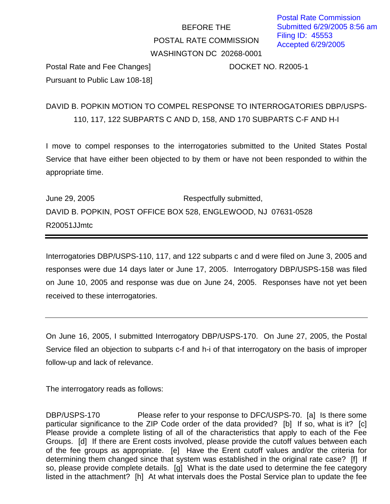## BEFORE THE POSTAL RATE COMMISSION WASHINGTON DC 20268-0001

Postal Rate and Fee Changes] DOCKET NO. R2005-1 Pursuant to Public Law 108-18]

DAVID B. POPKIN MOTION TO COMPEL RESPONSE TO INTERROGATORIES DBP/USPS-110, 117, 122 SUBPARTS C AND D, 158, AND 170 SUBPARTS C-F AND H-I

I move to compel responses to the interrogatories submitted to the United States Postal Service that have either been objected to by them or have not been responded to within the appropriate time.

June 29, 2005 **Respectfully submitted**, DAVID B. POPKIN, POST OFFICE BOX 528, ENGLEWOOD, NJ 07631-0528 R20051JJmtc

Interrogatories DBP/USPS-110, 117, and 122 subparts c and d were filed on June 3, 2005 and responses were due 14 days later or June 17, 2005. Interrogatory DBP/USPS-158 was filed on June 10, 2005 and response was due on June 24, 2005. Responses have not yet been received to these interrogatories.

On June 16, 2005, I submitted Interrogatory DBP/USPS-170. On June 27, 2005, the Postal Service filed an objection to subparts c-f and h-i of that interrogatory on the basis of improper follow-up and lack of relevance.

The interrogatory reads as follows:

DBP/USPS-170 Please refer to your response to DFC/USPS-70. [a] Is there some particular significance to the ZIP Code order of the data provided? [b] If so, what is it? [c] Please provide a complete listing of all of the characteristics that apply to each of the Fee Groups. [d] If there are Erent costs involved, please provide the cutoff values between each of the fee groups as appropriate. [e] Have the Erent cutoff values and/or the criteria for determining them changed since that system was established in the original rate case? [f] If so, please provide complete details. [g] What is the date used to determine the fee category listed in the attachment? [h] At what intervals does the Postal Service plan to update the fee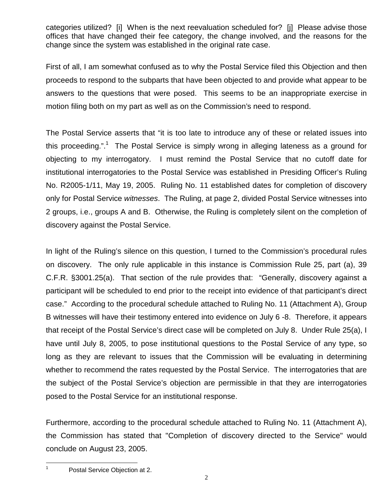categories utilized? [i] When is the next reevaluation scheduled for? [j] Please advise those offices that have changed their fee category, the change involved, and the reasons for the change since the system was established in the original rate case.

First of all, I am somewhat confused as to why the Postal Service filed this Objection and then proceeds to respond to the subparts that have been objected to and provide what appear to be answers to the questions that were posed. This seems to be an inappropriate exercise in motion filing both on my part as well as on the Commission's need to respond.

The Postal Service asserts that "it is too late to introduce any of these or related issues into this proceeding.".<sup>1</sup> The Postal Service is simply wrong in alleging lateness as a ground for objecting to my interrogatory. I must remind the Postal Service that no cutoff date for institutional interrogatories to the Postal Service was established in Presiding Officer's Ruling No. R2005-1/11, May 19, 2005. Ruling No. 11 established dates for completion of discovery only for Postal Service witnesses. The Ruling, at page 2, divided Postal Service witnesses into 2 groups, i.e., groups A and B. Otherwise, the Ruling is completely silent on the completion of discovery against the Postal Service.

In light of the Ruling's silence on this question, I turned to the Commission's procedural rules on discovery. The only rule applicable in this instance is Commission Rule 25, part (a), 39 C.F.R. §3001.25(a). That section of the rule provides that: "Generally, discovery against a participant will be scheduled to end prior to the receipt into evidence of that participant's direct case." According to the procedural schedule attached to Ruling No. 11 (Attachment A), Group B witnesses will have their testimony entered into evidence on July 6 -8. Therefore, it appears that receipt of the Postal Service's direct case will be completed on July 8. Under Rule 25(a), I have until July 8, 2005, to pose institutional questions to the Postal Service of any type, so long as they are relevant to issues that the Commission will be evaluating in determining whether to recommend the rates requested by the Postal Service. The interrogatories that are the subject of the Postal Service's objection are permissible in that they are interrogatories posed to the Postal Service for an institutional response.

Furthermore, according to the procedural schedule attached to Ruling No. 11 (Attachment A), the Commission has stated that "Completion of discovery directed to the Service" would conclude on August 23, 2005.

<sup>&</sup>lt;sup>1</sup> Postal Service Objection at 2.